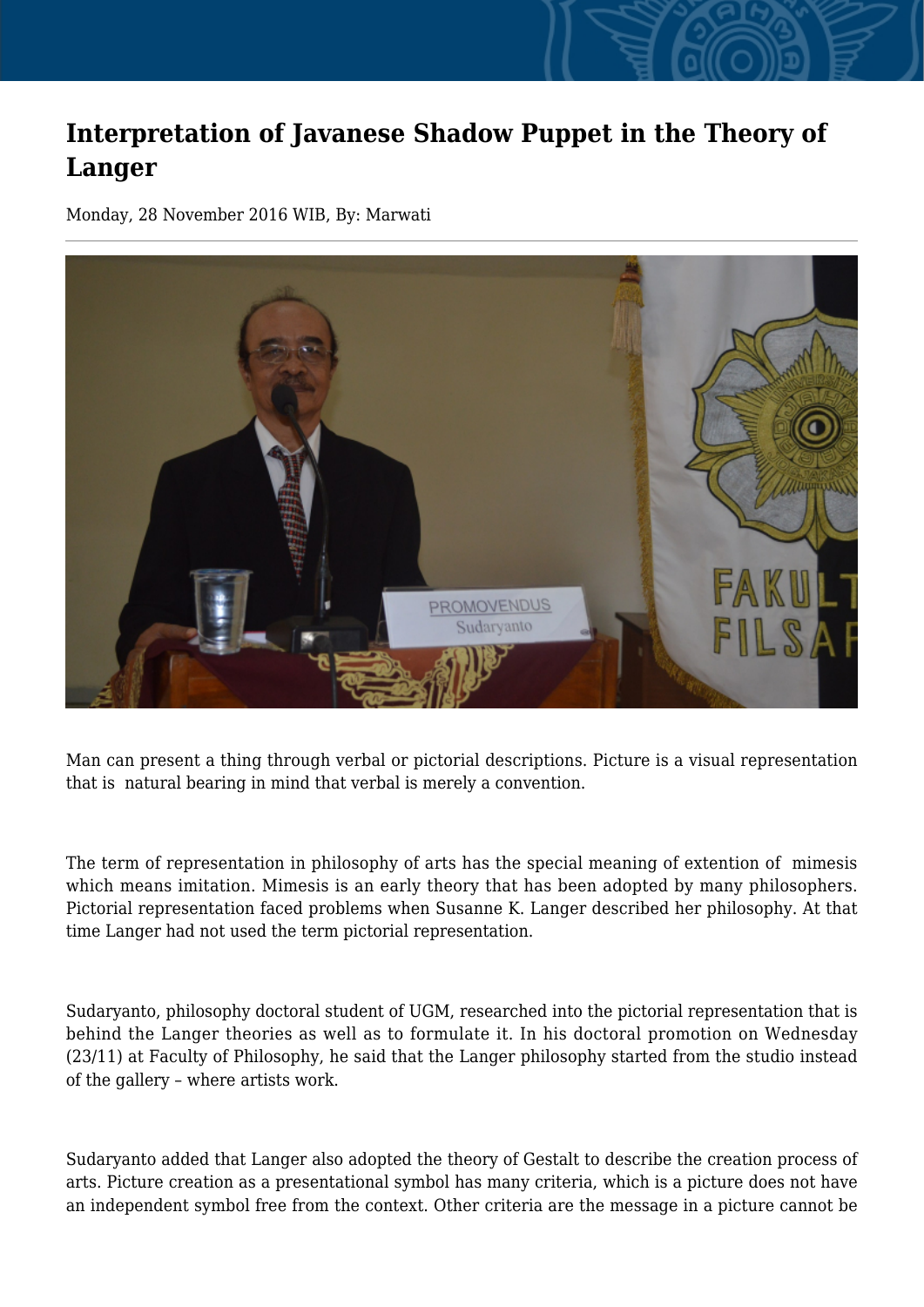## **Interpretation of Javanese Shadow Puppet in the Theory of Langer**

Monday, 28 November 2016 WIB, By: Marwati



Man can present a thing through verbal or pictorial descriptions. Picture is a visual representation that is natural bearing in mind that verbal is merely a convention.

The term of representation in philosophy of arts has the special meaning of extention of mimesis which means imitation. Mimesis is an early theory that has been adopted by many philosophers. Pictorial representation faced problems when Susanne K. Langer described her philosophy. At that time Langer had not used the term pictorial representation.

Sudaryanto, philosophy doctoral student of UGM, researched into the pictorial representation that is behind the Langer theories as well as to formulate it. In his doctoral promotion on Wednesday (23/11) at Faculty of Philosophy, he said that the Langer philosophy started from the studio instead of the gallery – where artists work.

Sudaryanto added that Langer also adopted the theory of Gestalt to describe the creation process of arts. Picture creation as a presentational symbol has many criteria, which is a picture does not have an independent symbol free from the context. Other criteria are the message in a picture cannot be